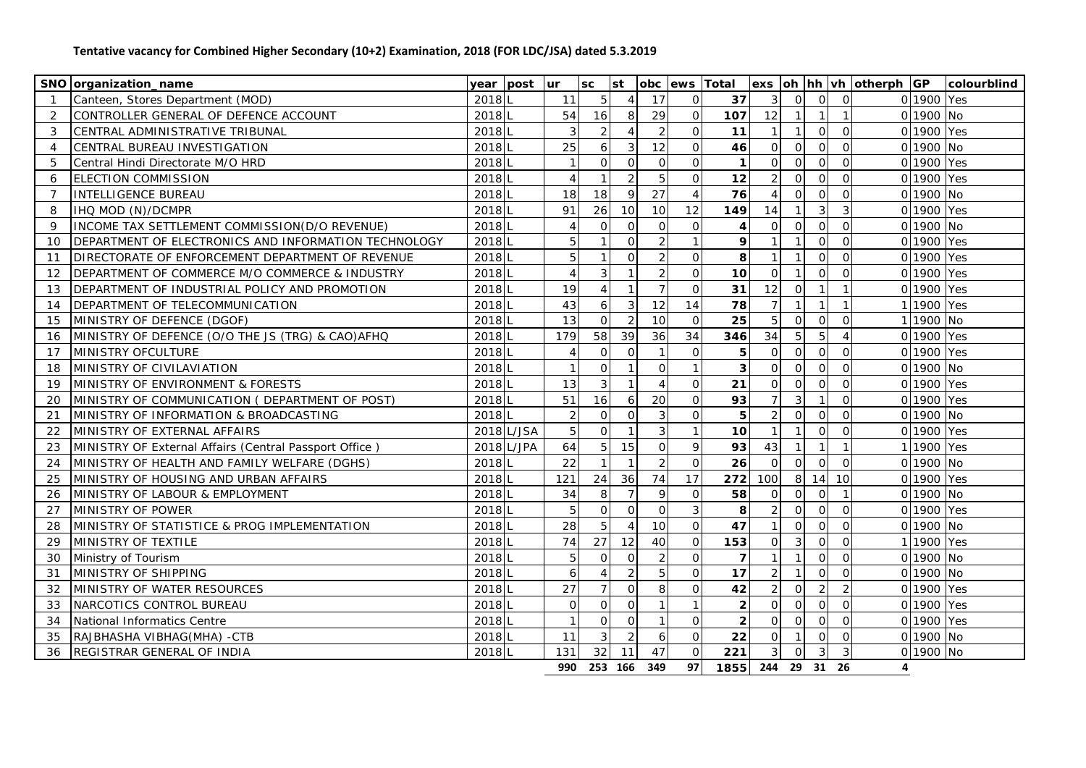## **Tentative vacancy for Combined Higher Secondary (10+2) Examination, 2018 (FOR LDC/JSA) dated 5.3.2019**

| SNO organization_name                                        | year post         | lur.                     | <b>SC</b>      | st                  |                 | obc lews Total      |                |                                  |                |                | exs oh hh vh otherph GP |            | colourblind |
|--------------------------------------------------------------|-------------------|--------------------------|----------------|---------------------|-----------------|---------------------|----------------|----------------------------------|----------------|----------------|-------------------------|------------|-------------|
| Canteen, Stores Department (MOD)<br>$\overline{1}$           | 2018 L            | 11                       | 5              | 4                   | 17              | $\mathbf{O}$        | 37             | $\mathbf{3}$<br>$\overline{O}$   | $\Omega$       | $\overline{O}$ |                         | 0 1900 Yes |             |
| 2<br>CONTROLLER GENERAL OF DEFENCE ACCOUNT                   | 2018              | 54                       | 16             | $\,8\,$             | 29              | $\mathsf O$         | 107            | 12<br>$\overline{1}$             | $\overline{1}$ |                |                         | 0 1900 No  |             |
| 3<br>CENTRAL ADMINISTRATIVE TRIBUNAL                         | 2018L             | 3                        | $\overline{2}$ | $\overline{A}$      | $\overline{2}$  | $\mathbf{O}$        | 11             | $\mathbf{1}$<br>$\mathbf{1}$     | $\Omega$       | $\Omega$       |                         | 0 1900 Yes |             |
| CENTRAL BUREAU INVESTIGATION<br>$\overline{4}$               | 2018              | 25                       | 6              | 3                   | 12              | $\overline{O}$      | 46             | $\overline{O}$<br>$\Omega$       | $\Omega$       | $\overline{0}$ |                         | 0 1900 No  |             |
| Central Hindi Directorate M/O HRD<br>.5                      | 2018 <sub>L</sub> |                          | $\overline{O}$ | $\overline{O}$      | $\Omega$        | $\mathbf{O}$        | $\mathbf{1}$   | $\Omega$<br>$\Omega$             | $\Omega$       | $\Omega$       |                         | 0 1900 Yes |             |
| <b>ELECTION COMMISSION</b><br>6                              | $2018$ L          | $\Lambda$                |                | $\overline{2}$      | 5               | $\Omega$            | 12             | $\mathcal{P}$<br>$\Omega$        | $\Omega$       | $\Omega$       |                         | 0 1900 Yes |             |
| INTELLIGENCE BUREAU<br>7                                     | $2018$ L          | 18                       | 18             | 9                   | 27              | $\overline{4}$      | 76             | $\Omega$<br>$\overline{4}$       | $\mathbf 0$    | $\overline{0}$ |                         | 0 1900 No  |             |
| <b>IHQ MOD (N)/DCMPR</b><br>8                                | 2018              | 91                       | 26             | 10 <sup>1</sup>     | 10              | 12                  | 149            | 14<br>$\mathbf{1}$               | $\mathbf{3}$   | $\mathfrak{Z}$ |                         | 0 1900 Yes |             |
| 9<br>INCOME TAX SETTLEMENT COMMISSION(D/O REVENUE)           | 2018L             |                          | $\overline{O}$ | $\overline{O}$      | $\mathbf 0$     | $\mathbf{O}$        | $\overline{4}$ | $\mathsf{O}$<br>$\circ$          | $\mathbf 0$    | $\mathsf{O}$   |                         | 0 1900 No  |             |
| DEPARTMENT OF ELECTRONICS AND INFORMATION TECHNOLOGY<br>10   | $2018$ L          | 5                        | $\mathbf{1}$   | $\overline{O}$      | $\overline{2}$  | $\mathbf{1}$        | 9              | $\overline{1}$                   | $\overline{O}$ | $\mathbf{O}$   |                         | 0 1900 Yes |             |
| DIRECTORATE OF ENFORCEMENT DEPARTMENT OF REVENUE<br>11       | 2018L             | 5                        | $\mathbf{1}$   | $\Omega$            | 2               | $\overline{O}$      | 8              | $\overline{1}$                   | $\Omega$       | $\overline{0}$ |                         | 0 1900 Yes |             |
| DEPARTMENT OF COMMERCE M/O COMMERCE & INDUSTRY<br>12         | $2018$ L          |                          | $\overline{3}$ |                     | $\overline{2}$  | $\overline{O}$      | 10             | $\mathbf{1}$<br>$\Omega$         | $\Omega$       | $\Omega$       |                         | 0 1900 Yes |             |
| DEPARTMENT OF INDUSTRIAL POLICY AND PROMOTION<br>13          | $2018$ L          | 19                       | $\overline{4}$ | $\mathbf{1}$        | $\overline{7}$  | $\mathbf 0$         | 31             | 12<br>$\mathsf{O}$               | $\overline{1}$ |                |                         | 0 1900 Yes |             |
| DEPARTMENT OF TELECOMMUNICATION<br>14                        | 2018 L            | 43                       | 6              | $\mathbf{3}$        | 12              | 14                  | 78             | $\overline{7}$<br>$\mathbf{1}$   | $\overline{1}$ |                |                         | 1 1900 Yes |             |
| MINISTRY OF DEFENCE (DGOF)<br>15                             | $2018$ L          | 13                       | $\circ$        | $\overline{2}$      | 10              | $\mathbf{O}$        | 25             | $5\overline{)}$<br>$\mathbf 0$   | $\mathbf 0$    | $\mathbf 0$    |                         | 1 1900 No  |             |
| MINISTRY OF DEFENCE (O/O THE JS (TRG) & CAO)AFHQ<br>16       | $2018$ L          | 179                      | 58             | 39                  | 36              | 34                  | 346            | 34<br>$5\overline{a}$            | 5              | $\overline{4}$ |                         | 0 1900 Yes |             |
| MINISTRY OFCULTURE<br>17                                     | 2018 L            |                          | $\circ$        | $\overline{O}$      | $\overline{1}$  | $\mathbf 0$         | 5              | $\Omega$<br>$\Omega$             | $\Omega$       | $\Omega$       |                         | 0 1900 Yes |             |
| MINISTRY OF CIVILAVIATION<br>18                              | 2018 L            | $\overline{\phantom{0}}$ | $\overline{O}$ | $\mathbf{1}$        | $\Omega$        | $\mathbf{1}$        | 3              | $\Omega$<br>$\Omega$             | $\Omega$       | $\Omega$       |                         | 0 1900 No  |             |
| MINISTRY OF ENVIRONMENT & FORESTS<br>19                      | $2018$ L          | 13                       | 3              | $\mathbf{1}$        | $\overline{4}$  | $\mathsf{O}\xspace$ | 21             | $\Omega$<br>$\Omega$             | $\Omega$       | $\Omega$       |                         | 0 1900 Yes |             |
| MINISTRY OF COMMUNICATION ( DEPARTMENT OF POST)<br>20        | $2018$ L          | 51                       | 16             | 6                   | 20              | $\mathbf 0$         | 93             | $\overline{7}$<br>$\overline{3}$ | $\overline{1}$ | $\overline{O}$ |                         | 0 1900 Yes |             |
| MINISTRY OF INFORMATION & BROADCASTING<br>21                 | $2018$ L          | $\mathcal{D}$            | $\overline{O}$ | $\Omega$            | $\mathfrak{Z}$  | $\overline{O}$      | 5              | $\overline{2}$<br>$\Omega$       | $\Omega$       | $\overline{O}$ |                         | 0 1900 No  |             |
| MINISTRY OF EXTERNAL AFFAIRS<br>22                           | 2018 L/JSA        | 5                        | $\circ$        | $\mathbf{1}$        | $\mathfrak{Z}$  | $\mathbf{1}$        | 10             | $\mathbf{1}$<br>$\mathbf{1}$     | $\Omega$       | $\Omega$       |                         | 0 1900 Yes |             |
| MINISTRY OF External Affairs (Central Passport Office)<br>23 | 2018 L/JPA        | 64                       | 5 <sup>1</sup> | 15                  | $\mathbf 0$     | $\mathsf{q}$        | 93             | 43<br>$\overline{1}$             | $\overline{1}$ | $\overline{1}$ |                         | 1 1900 Yes |             |
| MINISTRY OF HEALTH AND FAMILY WELFARE (DGHS)<br>24           | 2018 <sub>L</sub> | 22                       |                | $\mathbf{1}$        | 2               | $\mathsf{O}$        | 26             | $\overline{O}$<br>$\Omega$       | $\Omega$       | $\Omega$       |                         | 0 1900 No  |             |
| MINISTRY OF HOUSING AND URBAN AFFAIRS<br>25                  | 2018 <sub>L</sub> | 121                      | 24             | 36                  | 74              | 17                  | 272            | 8<br>100                         | 14             | 10             |                         | 0 1900 Yes |             |
| MINISTRY OF LABOUR & EMPLOYMENT<br>26                        | 2018 L            | 34                       | $\mathbf{8}$   | $\overline{7}$      | 9               | $\overline{O}$      | 58             | $\overline{O}$<br>$\overline{O}$ | $\overline{O}$ |                |                         | 0 1900 No  |             |
| 27<br>MINISTRY OF POWER                                      | $2018$ L          | 5                        | $\overline{O}$ | $\mathsf{O}$        | $\mathbf 0$     | $\mathfrak{Z}$      | 8              | $\mathbf 0$                      | $\Omega$       | $\Omega$       |                         | 0 1900 Yes |             |
| MINISTRY OF STATISTICE & PROG IMPLEMENTATION<br>28           | 2018              | 28                       | 5              |                     | 10              | $\mathbf{O}$        | 47             | $\Omega$                         | $\Omega$       | $\Omega$       |                         | 0 1900 No  |             |
| MINISTRY OF TEXTILE<br>29                                    | 2018 L            | 74                       | 27             | 12                  | 40              | $\Omega$            | 153            | $\mathbf{3}$<br>$\Omega$         | $\Omega$       | $\Omega$       |                         | 1 1900 Yes |             |
| Ministry of Tourism<br>30                                    | 2018L             |                          | $\mathbf{O}$   | $\overline{O}$      | 2               | $\Omega$            | $\overline{7}$ | $\mathbf{1}$                     | $\Omega$       | $\Omega$       |                         | 0 1900 No  |             |
| IMINISTRY OF SHIPPING<br>31                                  | 2018L             | 6                        |                | $\overline{2}$      | 5               | $\Omega$            | 17             | $\mathbf{1}$                     | $\Omega$       | $\Omega$       |                         | 0 1900 No  |             |
| 32<br>MINISTRY OF WATER RESOURCES                            | 2018 <sub>L</sub> | 27                       | $\overline{7}$ | $\mathsf O$         | 8               | $\mathbf{O}$        | 42             | $\overline{O}$                   | $\overline{2}$ | 2              |                         | 0 1900 Yes |             |
| 33<br>NARCOTICS CONTROL BUREAU                               | 2018              | $\overline{0}$           | 0              | $\mathsf{O}\xspace$ |                 | $\mathbf{1}$        | $\overline{c}$ | $\mathbf 0$<br>$\overline{O}$    | $\Omega$       | $\mathbf 0$    |                         | 0 1900 Yes |             |
| 34<br>National Informatics Centre                            | 2018 L            |                          | 0              | $\circ$             |                 | $\overline{O}$      | $\overline{2}$ | $\mathbf 0$<br>$\overline{0}$    | $\overline{0}$ | $\overline{0}$ |                         | 0 1900 Yes |             |
| 35<br>RAJBHASHA VIBHAG(MHA) -CTB                             | 2018 L            | 11                       | 3              | $\overline{2}$      | 6               | $\mathsf{O}$        | 22             | $\Omega$<br>$\mathbf{1}$         | $\overline{O}$ | $\overline{0}$ |                         | 0 1900 No  |             |
| 36<br>REGISTRAR GENERAL OF INDIA                             | 2018L             | 131                      | 32             | 11                  | 47              | $\circ$             | 221            | $\overline{3}$<br>$\mathbf 0$    | $\mathbf{3}$   | $\mathbf{3}$   |                         | 0 1900 No  |             |
|                                                              |                   |                          |                |                     | 990 253 166 349 | 97                  |                | 1855 244 29 31 26                |                |                | $\overline{\mathbf{A}}$ |            |             |